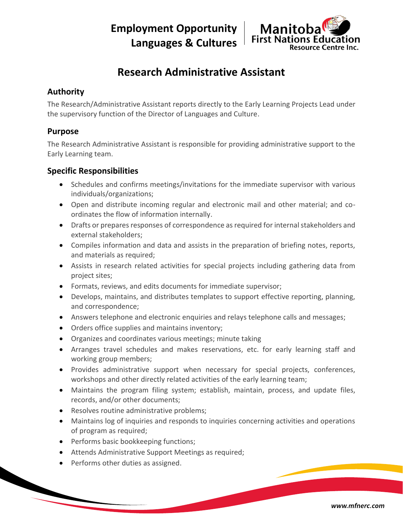**Employment Opportunity Languages & Cultures**



# **Research Administrative Assistant**

## **Authority**

The Research/Administrative Assistant reports directly to the Early Learning Projects Lead under the supervisory function of the Director of Languages and Culture.

### **Purpose**

The Research Administrative Assistant is responsible for providing administrative support to the Early Learning team.

### **Specific Responsibilities**

- Schedules and confirms meetings/invitations for the immediate supervisor with various individuals/organizations;
- Open and distribute incoming regular and electronic mail and other material; and coordinates the flow of information internally.
- Drafts or prepares responses of correspondence as required for internal stakeholders and external stakeholders;
- Compiles information and data and assists in the preparation of briefing notes, reports, and materials as required;
- Assists in research related activities for special projects including gathering data from project sites;
- Formats, reviews, and edits documents for immediate supervisor;
- Develops, maintains, and distributes templates to support effective reporting, planning, and correspondence;
- Answers telephone and electronic enquiries and relays telephone calls and messages;
- Orders office supplies and maintains inventory;
- Organizes and coordinates various meetings; minute taking
- Arranges travel schedules and makes reservations, etc. for early learning staff and working group members;
- Provides administrative support when necessary for special projects, conferences, workshops and other directly related activities of the early learning team;
- Maintains the program filing system; establish, maintain, process, and update files, records, and/or other documents;
- Resolves routine administrative problems;
- Maintains log of inquiries and responds to inquiries concerning activities and operations of program as required;
- Performs basic bookkeeping functions;
- Attends Administrative Support Meetings as required;
- Performs other duties as assigned.